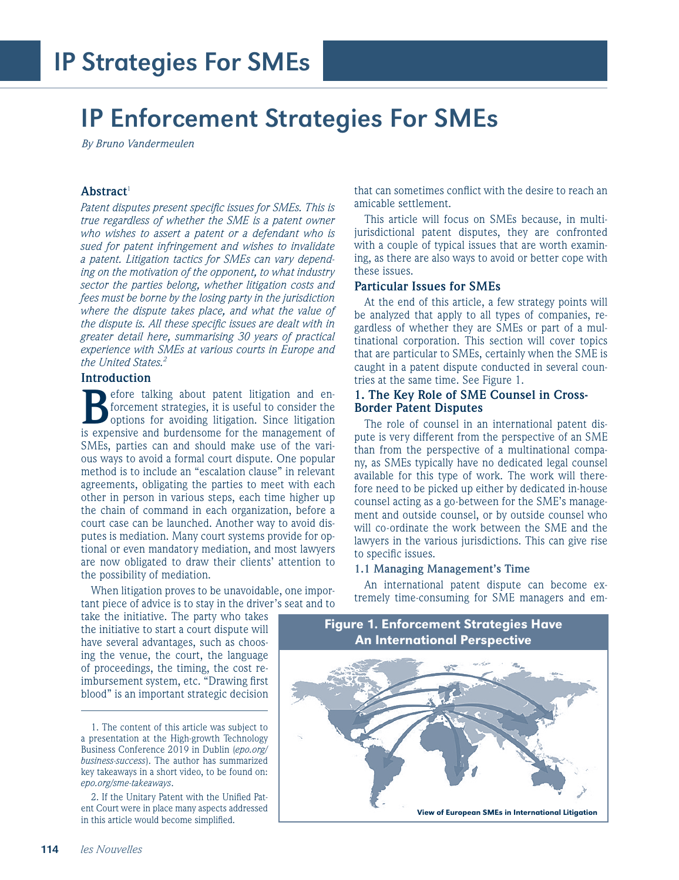## IP Enforcement Strategies For SMEs

*By Bruno Vandermeulen*

## **Abstract**<sup>1</sup>

*Patent disputes present specific issues for SMEs. This is true regardless of whether the SME is a patent owner who wishes to assert a patent or a defendant who is sued for patent infringement and wishes to invalidate a patent. Litigation tactics for SMEs can vary depending on the motivation of the opponent, to what industry sector the parties belong, whether litigation costs and fees must be borne by the losing party in the jurisdiction where the dispute takes place, and what the value of the dispute is. All these specific issues are dealt with in greater detail here, summarising 30 years of practical experience with SMEs at various courts in Europe and the United States.2*

#### **Introduction**

**B**efore talking about patent litigation and enforcement strategies, it is useful to consider the options for avoiding litigation. Since litigation is expensive and burdensome for the management of SMEs, parties can and should make use of the various ways to avoid a formal court dispute. One popular method is to include an "escalation clause" in relevant agreements, obligating the parties to meet with each other in person in various steps, each time higher up the chain of command in each organization, before a court case can be launched. Another way to avoid disputes is mediation. Many court systems provide for optional or even mandatory mediation, and most lawyers are now obligated to draw their clients' attention to the possibility of mediation.

When litigation proves to be unavoidable, one important piece of advice is to stay in the driver's seat and to

take the initiative. The party who takes the initiative to start a court dispute will have several advantages, such as choosing the venue, the court, the language of proceedings, the timing, the cost reimbursement system, etc. "Drawing first blood" is an important strategic decision that can sometimes conflict with the desire to reach an amicable settlement.

This article will focus on SMEs because, in multijurisdictional patent disputes, they are confronted with a couple of typical issues that are worth examining, as there are also ways to avoid or better cope with these issues.

#### **Particular Issues for SMEs**

At the end of this article, a few strategy points will be analyzed that apply to all types of companies, regardless of whether they are SMEs or part of a multinational corporation. This section will cover topics that are particular to SMEs, certainly when the SME is caught in a patent dispute conducted in several countries at the same time. See Figure 1.

## **1. The Key Role of SME Counsel in Cross-Border Patent Disputes**

The role of counsel in an international patent dispute is very different from the perspective of an SME than from the perspective of a multinational company, as SMEs typically have no dedicated legal counsel available for this type of work. The work will therefore need to be picked up either by dedicated in-house counsel acting as a go-between for the SME's management and outside counsel, or by outside counsel who will co-ordinate the work between the SME and the lawyers in the various jurisdictions. This can give rise to specific issues.

#### **1.1 Managing Management's Time**

An international patent dispute can become extremely time-consuming for SME managers and em-



<sup>1.</sup> The content of this article was subject to a presentation at the High-growth Technology Business Conference 2019 in Dublin (*epo.org/ business-success*). The author has summarized key takeaways in a short video, to be found on: *epo.org/sme-takeaways*.

<sup>2.</sup> If the Unitary Patent with the Unified Patent Court were in place many aspects addressed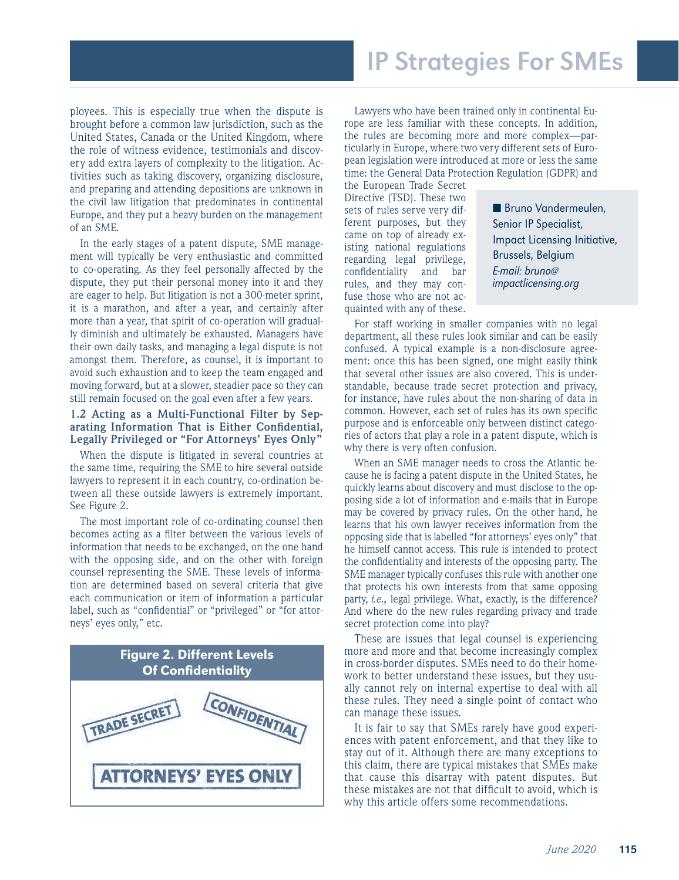## IP Strategies For SMEs

ployees. This is especially true when the dispute is brought before a common law jurisdiction, such as the United States, Canada or the United Kingdom, where the role of witness evidence, testimonials and discovery add extra layers of complexity to the litigation. Activities such as taking discovery, organizing disclosure, and preparing and attending depositions are unknown in the civil law litigation that predominates in continental Europe, and they put a heavy burden on the management of an SME.

In the early stages of a patent dispute, SME management will typically be very enthusiastic and committed to co-operating. As they feel personally affected by the dispute, they put their personal money into it and they are eager to help. But litigation is not a 300-meter sprint, it is a marathon, and after a year, and certainly after more than a year, that spirit of co-operation will gradually diminish and ultimately be exhausted. Managers have their own daily tasks, and managing a legal dispute is not amongst them. Therefore, as counsel, it is important to avoid such exhaustion and to keep the team engaged and moving forward, but at a slower, steadier pace so they can still remain focused on the goal even after a few years.

## **1.2 Acting as a Multi-Functional Filter by Separating Information That is Either Confidential, Legally Privileged or "For Attorneys' Eyes Only"**

When the dispute is litigated in several countries at the same time, requiring the SME to hire several outside lawyers to represent it in each country, co-ordination between all these outside lawyers is extremely important. See Figure 2.

The most important role of co-ordinating counsel then becomes acting as a filter between the various levels of information that needs to be exchanged, on the one hand with the opposing side, and on the other with foreign counsel representing the SME. These levels of information are determined based on several criteria that give each communication or item of information a particular label, such as "confidential" or "privileged" or "for attorneys' eyes only," etc.



Lawyers who have been trained only in continental Europe are less familiar with these concepts. In addition, the rules are becoming more and more complex—particularly in Europe, where two very different sets of European legislation were introduced at more or less the same time: the General Data Protection Regulation (GDPR) and

the European Trade Secret Directive (TSD). These two sets of rules serve very different purposes, but they came on top of already existing national regulations regarding legal privilege, confidentiality and bar rules, and they may confuse those who are not acquainted with any of these.

■ Bruno Vandermeulen, Senior IP Specialist, Impact Licensing Initiative, Brussels, Belgium E-mail: bruno@ impactlicensing.org

For staff working in smaller companies with no legal department, all these rules look similar and can be easily confused. A typical example is a non-disclosure agreement: once this has been signed, one might easily think that several other issues are also covered. This is understandable, because trade secret protection and privacy, for instance, have rules about the non-sharing of data in common. However, each set of rules has its own specific purpose and is enforceable only between distinct categories of actors that play a role in a patent dispute, which is why there is very often confusion.

When an SME manager needs to cross the Atlantic because he is facing a patent dispute in the United States, he quickly learns about discovery and must disclose to the opposing side a lot of information and e-mails that in Europe may be covered by privacy rules. On the other hand, he learns that his own lawyer receives information from the opposing side that is labelled "for attorneys' eyes only" that he himself cannot access. This rule is intended to protect the confidentiality and interests of the opposing party. The SME manager typically confuses this rule with another one that protects his own interests from that same opposing party, *i.e.,* legal privilege. What, exactly, is the difference? And where do the new rules regarding privacy and trade secret protection come into play?

These are issues that legal counsel is experiencing more and more and that become increasingly complex in cross-border disputes. SMEs need to do their homework to better understand these issues, but they usually cannot rely on internal expertise to deal with all these rules. They need a single point of contact who can manage these issues.

It is fair to say that SMEs rarely have good experiences with patent enforcement, and that they like to stay out of it. Although there are many exceptions to this claim, there are typical mistakes that SMEs make that cause this disarray with patent disputes. But these mistakes are not that difficult to avoid, which is why this article offers some recommendations.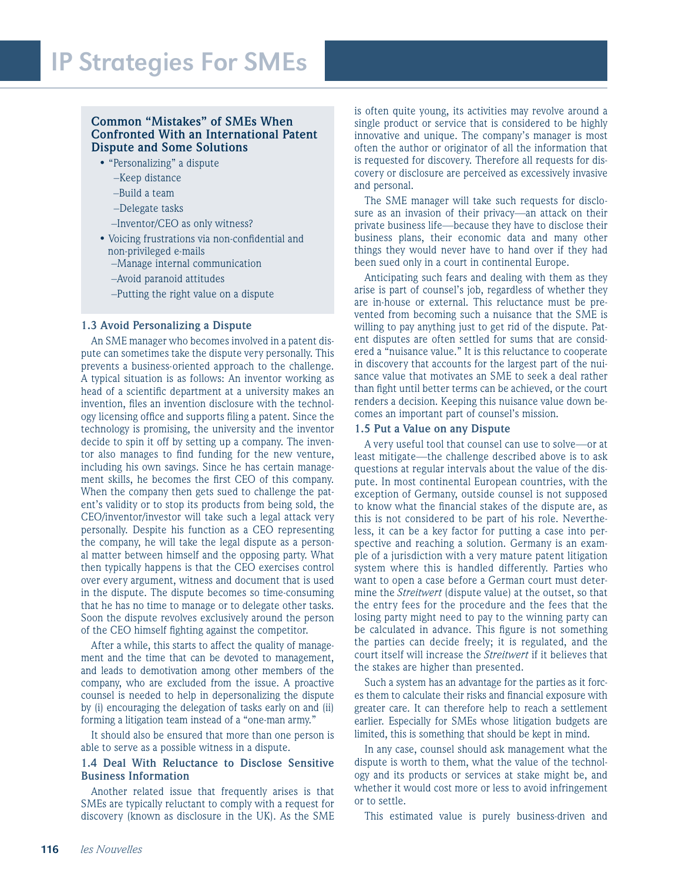## **Common "Mistakes" of SMEs When Confronted With an International Patent Dispute and Some Solutions**

- "Personalizing" a dispute
	- –Keep distance
	- –Build a team
	- –Delegate tasks
	- –Inventor/CEO as only witness?
- Voicing frustrations via non-confidential and non-privileged e-mails
	- –Manage internal communication
	- –Avoid paranoid attitudes
	- –Putting the right value on a dispute

#### **1.3 Avoid Personalizing a Dispute**

An SME manager who becomes involved in a patent dispute can sometimes take the dispute very personally. This prevents a business-oriented approach to the challenge. A typical situation is as follows: An inventor working as head of a scientific department at a university makes an invention, files an invention disclosure with the technology licensing office and supports filing a patent. Since the technology is promising, the university and the inventor decide to spin it off by setting up a company. The inventor also manages to find funding for the new venture, including his own savings. Since he has certain management skills, he becomes the first CEO of this company. When the company then gets sued to challenge the patent's validity or to stop its products from being sold, the CEO/inventor/investor will take such a legal attack very personally. Despite his function as a CEO representing the company, he will take the legal dispute as a personal matter between himself and the opposing party. What then typically happens is that the CEO exercises control over every argument, witness and document that is used in the dispute. The dispute becomes so time-consuming that he has no time to manage or to delegate other tasks. Soon the dispute revolves exclusively around the person of the CEO himself fighting against the competitor.

After a while, this starts to affect the quality of management and the time that can be devoted to management, and leads to demotivation among other members of the company, who are excluded from the issue. A proactive counsel is needed to help in depersonalizing the dispute by (i) encouraging the delegation of tasks early on and (ii) forming a litigation team instead of a "one-man army."

It should also be ensured that more than one person is able to serve as a possible witness in a dispute.

## **1.4 Deal With Reluctance to Disclose Sensitive Business Information**

Another related issue that frequently arises is that SMEs are typically reluctant to comply with a request for discovery (known as disclosure in the UK). As the SME

is often quite young, its activities may revolve around a single product or service that is considered to be highly innovative and unique. The company's manager is most often the author or originator of all the information that is requested for discovery. Therefore all requests for discovery or disclosure are perceived as excessively invasive and personal.

The SME manager will take such requests for disclosure as an invasion of their privacy—an attack on their private business life—because they have to disclose their business plans, their economic data and many other things they would never have to hand over if they had been sued only in a court in continental Europe.

Anticipating such fears and dealing with them as they arise is part of counsel's job, regardless of whether they are in-house or external. This reluctance must be prevented from becoming such a nuisance that the SME is willing to pay anything just to get rid of the dispute. Patent disputes are often settled for sums that are considered a "nuisance value." It is this reluctance to cooperate in discovery that accounts for the largest part of the nuisance value that motivates an SME to seek a deal rather than fight until better terms can be achieved, or the court renders a decision. Keeping this nuisance value down becomes an important part of counsel's mission.

#### **1.5 Put a Value on any Dispute**

A very useful tool that counsel can use to solve—or at least mitigate—the challenge described above is to ask questions at regular intervals about the value of the dispute. In most continental European countries, with the exception of Germany, outside counsel is not supposed to know what the financial stakes of the dispute are, as this is not considered to be part of his role. Nevertheless, it can be a key factor for putting a case into perspective and reaching a solution. Germany is an example of a jurisdiction with a very mature patent litigation system where this is handled differently. Parties who want to open a case before a German court must determine the *Streitwert* (dispute value) at the outset, so that the entry fees for the procedure and the fees that the losing party might need to pay to the winning party can be calculated in advance. This figure is not something the parties can decide freely; it is regulated, and the court itself will increase the *Streitwert* if it believes that the stakes are higher than presented.

Such a system has an advantage for the parties as it forces them to calculate their risks and financial exposure with greater care. It can therefore help to reach a settlement earlier. Especially for SMEs whose litigation budgets are limited, this is something that should be kept in mind.

In any case, counsel should ask management what the dispute is worth to them, what the value of the technology and its products or services at stake might be, and whether it would cost more or less to avoid infringement or to settle.

This estimated value is purely business-driven and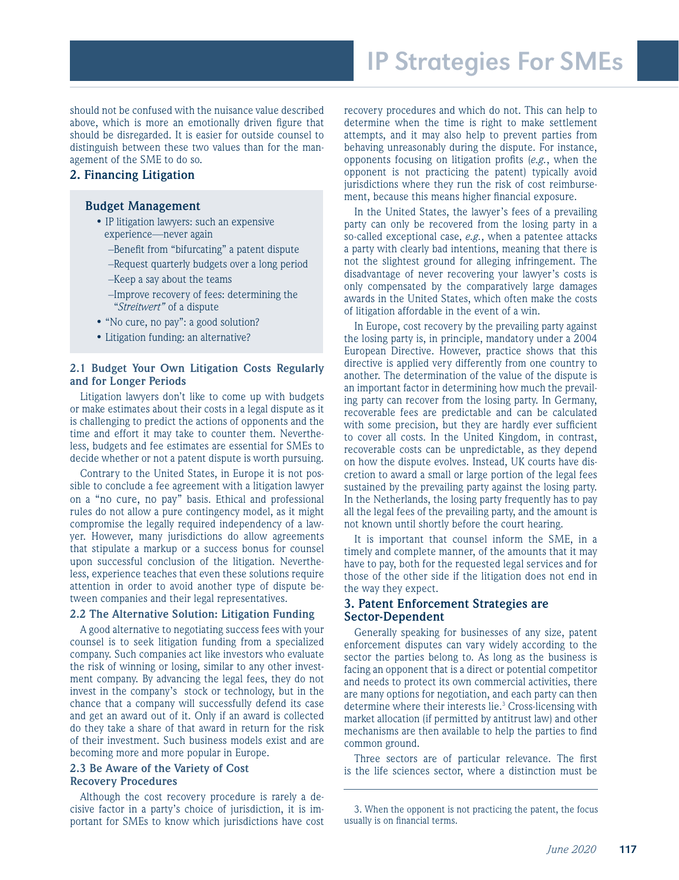should not be confused with the nuisance value described above, which is more an emotionally driven figure that should be disregarded. It is easier for outside counsel to distinguish between these two values than for the management of the SME to do so.

## **2. Financing Litigation**

#### **Budget Management**

- IP litigation lawyers: such an expensive experience—never again
	- –Benefit from "bifurcating" a patent dispute
	- –Request quarterly budgets over a long period
	- –Keep a say about the teams
	- –Improve recovery of fees: determining the "*Streitwert"* of a dispute
- "No cure, no pay": a good solution?
- Litigation funding: an alternative?

## **2.1 Budget Your Own Litigation Costs Regularly and for Longer Periods**

Litigation lawyers don't like to come up with budgets or make estimates about their costs in a legal dispute as it is challenging to predict the actions of opponents and the time and effort it may take to counter them. Nevertheless, budgets and fee estimates are essential for SMEs to decide whether or not a patent dispute is worth pursuing.

Contrary to the United States, in Europe it is not possible to conclude a fee agreement with a litigation lawyer on a "no cure, no pay" basis. Ethical and professional rules do not allow a pure contingency model, as it might compromise the legally required independency of a lawyer. However, many jurisdictions do allow agreements that stipulate a markup or a success bonus for counsel upon successful conclusion of the litigation. Nevertheless, experience teaches that even these solutions require attention in order to avoid another type of dispute between companies and their legal representatives.

#### **2.2 The Alternative Solution: Litigation Funding**

A good alternative to negotiating success fees with your counsel is to seek litigation funding from a specialized company. Such companies act like investors who evaluate the risk of winning or losing, similar to any other investment company. By advancing the legal fees, they do not invest in the company's stock or technology, but in the chance that a company will successfully defend its case and get an award out of it. Only if an award is collected do they take a share of that award in return for the risk of their investment. Such business models exist and are becoming more and more popular in Europe.

### **2.3 Be Aware of the Variety of Cost Recovery Procedures**

Although the cost recovery procedure is rarely a decisive factor in a party's choice of jurisdiction, it is important for SMEs to know which jurisdictions have cost recovery procedures and which do not. This can help to determine when the time is right to make settlement attempts, and it may also help to prevent parties from behaving unreasonably during the dispute. For instance, opponents focusing on litigation profits (*e.g.*, when the opponent is not practicing the patent) typically avoid jurisdictions where they run the risk of cost reimbursement, because this means higher financial exposure.

In the United States, the lawyer's fees of a prevailing party can only be recovered from the losing party in a so-called exceptional case, *e.g.*, when a patentee attacks a party with clearly bad intentions, meaning that there is not the slightest ground for alleging infringement. The disadvantage of never recovering your lawyer's costs is only compensated by the comparatively large damages awards in the United States, which often make the costs of litigation affordable in the event of a win.

In Europe, cost recovery by the prevailing party against the losing party is, in principle, mandatory under a 2004 European Directive. However, practice shows that this directive is applied very differently from one country to another. The determination of the value of the dispute is an important factor in determining how much the prevailing party can recover from the losing party. In Germany, recoverable fees are predictable and can be calculated with some precision, but they are hardly ever sufficient to cover all costs. In the United Kingdom, in contrast, recoverable costs can be unpredictable, as they depend on how the dispute evolves. Instead, UK courts have discretion to award a small or large portion of the legal fees sustained by the prevailing party against the losing party. In the Netherlands, the losing party frequently has to pay all the legal fees of the prevailing party, and the amount is not known until shortly before the court hearing.

It is important that counsel inform the SME, in a timely and complete manner, of the amounts that it may have to pay, both for the requested legal services and for those of the other side if the litigation does not end in the way they expect.

## **3. Patent Enforcement Strategies are Sector-Dependent**

Generally speaking for businesses of any size, patent enforcement disputes can vary widely according to the sector the parties belong to. As long as the business is facing an opponent that is a direct or potential competitor and needs to protect its own commercial activities, there are many options for negotiation, and each party can then determine where their interests lie.<sup>3</sup> Cross-licensing with market allocation (if permitted by antitrust law) and other mechanisms are then available to help the parties to find common ground.

Three sectors are of particular relevance. The first is the life sciences sector, where a distinction must be

<sup>3.</sup> When the opponent is not practicing the patent, the focus usually is on financial terms.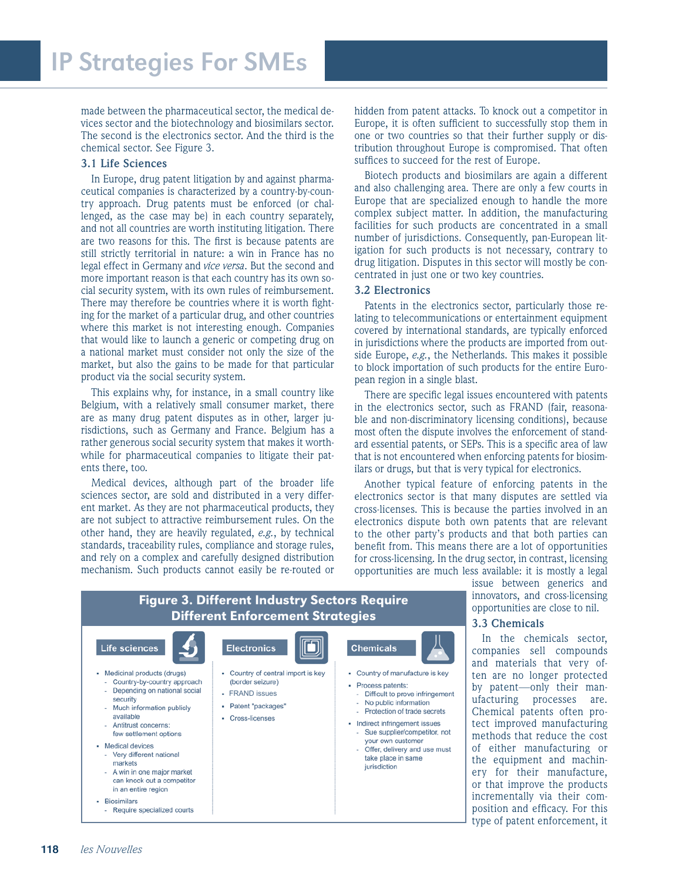made between the pharmaceutical sector, the medical devices sector and the biotechnology and biosimilars sector. The second is the electronics sector. And the third is the chemical sector. See Figure 3.

#### **3.1 Life Sciences**

In Europe, drug patent litigation by and against pharmaceutical companies is characterized by a country-by-country approach. Drug patents must be enforced (or challenged, as the case may be) in each country separately, and not all countries are worth instituting litigation. There are two reasons for this. The first is because patents are still strictly territorial in nature: a win in France has no legal effect in Germany and *vice versa*. But the second and more important reason is that each country has its own social security system, with its own rules of reimbursement. There may therefore be countries where it is worth fighting for the market of a particular drug, and other countries where this market is not interesting enough. Companies that would like to launch a generic or competing drug on a national market must consider not only the size of the market, but also the gains to be made for that particular product via the social security system.

This explains why, for instance, in a small country like Belgium, with a relatively small consumer market, there are as many drug patent disputes as in other, larger jurisdictions, such as Germany and France. Belgium has a rather generous social security system that makes it worthwhile for pharmaceutical companies to litigate their patents there, too.

Medical devices, although part of the broader life sciences sector, are sold and distributed in a very different market. As they are not pharmaceutical products, they are not subject to attractive reimbursement rules. On the other hand, they are heavily regulated, *e.g.*, by technical standards, traceability rules, compliance and storage rules, and rely on a complex and carefully designed distribution mechanism. Such products cannot easily be re-routed or

hidden from patent attacks. To knock out a competitor in Europe, it is often sufficient to successfully stop them in one or two countries so that their further supply or distribution throughout Europe is compromised. That often suffices to succeed for the rest of Europe.

Biotech products and biosimilars are again a different and also challenging area. There are only a few courts in Europe that are specialized enough to handle the more complex subject matter. In addition, the manufacturing facilities for such products are concentrated in a small number of jurisdictions. Consequently, pan-European litigation for such products is not necessary, contrary to drug litigation. Disputes in this sector will mostly be concentrated in just one or two key countries.

#### **3.2 Electronics**

Patents in the electronics sector, particularly those relating to telecommunications or entertainment equipment covered by international standards, are typically enforced in jurisdictions where the products are imported from outside Europe, *e.g.*, the Netherlands. This makes it possible to block importation of such products for the entire European region in a single blast.

There are specific legal issues encountered with patents in the electronics sector, such as FRAND (fair, reasonable and non-discriminatory licensing conditions), because most often the dispute involves the enforcement of standard essential patents, or SEPs. This is a specific area of law that is not encountered when enforcing patents for biosimilars or drugs, but that is very typical for electronics.

Another typical feature of enforcing patents in the electronics sector is that many disputes are settled via cross-licenses. This is because the parties involved in an electronics dispute both own patents that are relevant to the other party's products and that both parties can benefit from. This means there are a lot of opportunities for cross-licensing. In the drug sector, in contrast, licensing opportunities are much less available: it is mostly a legal

> issue between generics and innovators, and cross-licensing opportunities are close to nil.

#### **3.3 Chemicals**

In the chemicals sector, companies sell compounds and materials that very often are no longer protected by patent—only their manufacturing processes are. Chemical patents often protect improved manufacturing methods that reduce the cost of either manufacturing or the equipment and machinery for their manufacture, or that improve the products incrementally via their composition and efficacy. For this type of patent enforcement, it

#### Figure 3. Different Industry Sectors Require Different Enforcement Strategies Life sciences **Electronics** الأ **Chemicals**

• Medicinal products (drugs) • Country of central import is key - Country of manufacture is key Country-by-country approach (border seizure) · Process patents: Depending on national social **FRAND** issues Difficult to prove infringement security No public information • Patent "packages" - Much information publicly - Protection of trade secrets available • Cross-licenses - Indirect infringement issues Antitrust concerns: few settlement options Sue supplier/competitor, not vour own customer • Medical devices Offer, delivery and use must Very different national  $\sim$ take place in same markets iurisdiction A win in one major market can knock out a competitor in an entire region - Biosimilars Require specialized courts